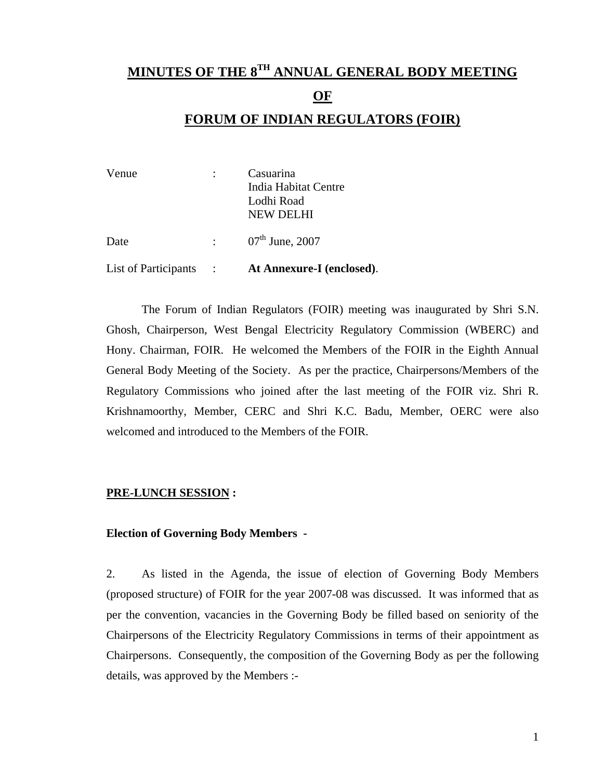# **MINUTES OF THE 8TH ANNUAL GENERAL BODY MEETING**

#### **OF**

### **FORUM OF INDIAN REGULATORS (FOIR)**

| Venue                |                             | Casuarina                   |
|----------------------|-----------------------------|-----------------------------|
|                      |                             | India Habitat Centre        |
|                      |                             | Lodhi Road                  |
|                      |                             | <b>NEW DELHI</b>            |
|                      |                             |                             |
| Date                 | $\mathbf{r} = \mathbf{r}$ . | $07^{\text{th}}$ June, 2007 |
|                      |                             |                             |
| List of Participants |                             | At Annexure-I (enclosed).   |

 The Forum of Indian Regulators (FOIR) meeting was inaugurated by Shri S.N. Ghosh, Chairperson, West Bengal Electricity Regulatory Commission (WBERC) and Hony. Chairman, FOIR. He welcomed the Members of the FOIR in the Eighth Annual General Body Meeting of the Society. As per the practice, Chairpersons/Members of the Regulatory Commissions who joined after the last meeting of the FOIR viz. Shri R. Krishnamoorthy, Member, CERC and Shri K.C. Badu, Member, OERC were also welcomed and introduced to the Members of the FOIR.

#### **PRE-LUNCH SESSION :**

#### **Election of Governing Body Members -**

2. As listed in the Agenda, the issue of election of Governing Body Members (proposed structure) of FOIR for the year 2007-08 was discussed. It was informed that as per the convention, vacancies in the Governing Body be filled based on seniority of the Chairpersons of the Electricity Regulatory Commissions in terms of their appointment as Chairpersons. Consequently, the composition of the Governing Body as per the following details, was approved by the Members :-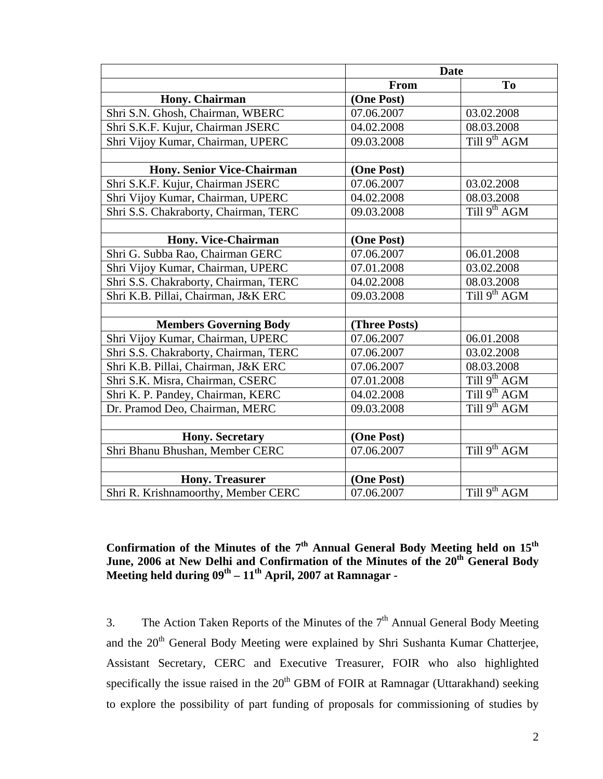|                                       |               | <b>Date</b>              |
|---------------------------------------|---------------|--------------------------|
|                                       | From          | To                       |
| Hony. Chairman                        | (One Post)    |                          |
| Shri S.N. Ghosh, Chairman, WBERC      | 07.06.2007    | 03.02.2008               |
| Shri S.K.F. Kujur, Chairman JSERC     | 04.02.2008    | 08.03.2008               |
| Shri Vijoy Kumar, Chairman, UPERC     | 09.03.2008    | Till 9 <sup>th</sup> AGM |
|                                       |               |                          |
| <b>Hony. Senior Vice-Chairman</b>     | (One Post)    |                          |
| Shri S.K.F. Kujur, Chairman JSERC     | 07.06.2007    | 03.02.2008               |
| Shri Vijoy Kumar, Chairman, UPERC     | 04.02.2008    | 08.03.2008               |
| Shri S.S. Chakraborty, Chairman, TERC | 09.03.2008    | Till $9^{th}$ AGM        |
|                                       |               |                          |
| Hony. Vice-Chairman                   | (One Post)    |                          |
| Shri G. Subba Rao, Chairman GERC      | 07.06.2007    | 06.01.2008               |
| Shri Vijoy Kumar, Chairman, UPERC     | 07.01.2008    | 03.02.2008               |
| Shri S.S. Chakraborty, Chairman, TERC | 04.02.2008    | 08.03.2008               |
| Shri K.B. Pillai, Chairman, J&K ERC   | 09.03.2008    | Till $9^{th}$ AGM        |
|                                       |               |                          |
| <b>Members Governing Body</b>         | (Three Posts) |                          |
| Shri Vijoy Kumar, Chairman, UPERC     | 07.06.2007    | 06.01.2008               |
| Shri S.S. Chakraborty, Chairman, TERC | 07.06.2007    | 03.02.2008               |
| Shri K.B. Pillai, Chairman, J&K ERC   | 07.06.2007    | 08.03.2008               |
| Shri S.K. Misra, Chairman, CSERC      | 07.01.2008    | Till 9 <sup>th</sup> AGM |
| Shri K. P. Pandey, Chairman, KERC     | 04.02.2008    | Till 9 <sup>th</sup> AGM |
| Dr. Pramod Deo, Chairman, MERC        | 09.03.2008    | Till $9^{th}$ AGM        |
|                                       |               |                          |
| <b>Hony. Secretary</b>                | (One Post)    |                          |
| Shri Bhanu Bhushan, Member CERC       | 07.06.2007    | Till $9^{th}$ AGM        |
|                                       |               |                          |
| <b>Hony. Treasurer</b>                | (One Post)    |                          |
| Shri R. Krishnamoorthy, Member CERC   | 07.06.2007    | Till 9 <sup>th</sup> AGM |

### Confirmation of the Minutes of the 7<sup>th</sup> Annual General Body Meeting held on 15<sup>th</sup> June, 2006 at New Delhi and Confirmation of the Minutes of the 20<sup>th</sup> General Body Meeting held during  $09<sup>th</sup> - 11<sup>th</sup>$  April, 2007 at Ramnagar -

3. The Action Taken Reports of the Minutes of the  $7<sup>th</sup>$  Annual General Body Meeting and the 20<sup>th</sup> General Body Meeting were explained by Shri Sushanta Kumar Chatterjee, Assistant Secretary, CERC and Executive Treasurer, FOIR who also highlighted specifically the issue raised in the  $20<sup>th</sup>$  GBM of FOIR at Ramnagar (Uttarakhand) seeking to explore the possibility of part funding of proposals for commissioning of studies by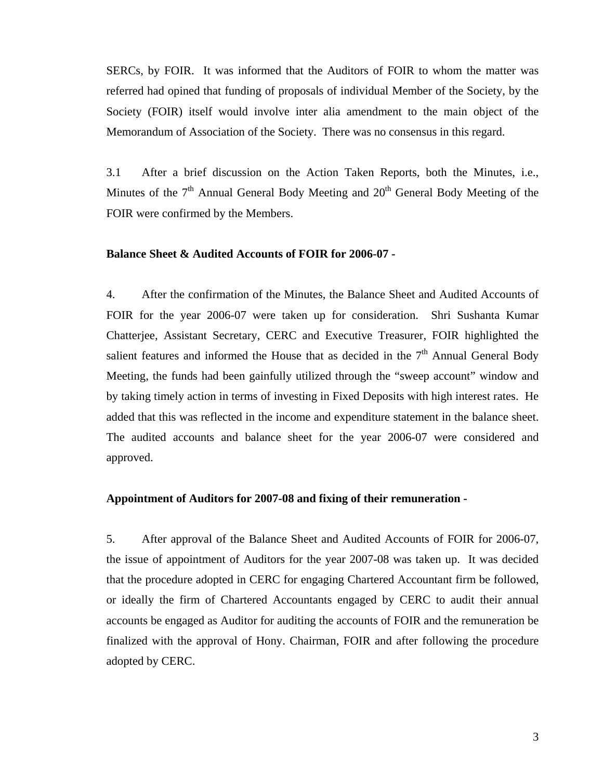SERCs, by FOIR. It was informed that the Auditors of FOIR to whom the matter was referred had opined that funding of proposals of individual Member of the Society, by the Society (FOIR) itself would involve inter alia amendment to the main object of the Memorandum of Association of the Society. There was no consensus in this regard.

3.1 After a brief discussion on the Action Taken Reports, both the Minutes, i.e., Minutes of the  $7<sup>th</sup>$  Annual General Body Meeting and  $20<sup>th</sup>$  General Body Meeting of the FOIR were confirmed by the Members.

#### **Balance Sheet & Audited Accounts of FOIR for 2006-07 -**

4. After the confirmation of the Minutes, the Balance Sheet and Audited Accounts of FOIR for the year 2006-07 were taken up for consideration. Shri Sushanta Kumar Chatterjee, Assistant Secretary, CERC and Executive Treasurer, FOIR highlighted the salient features and informed the House that as decided in the  $7<sup>th</sup>$  Annual General Body Meeting, the funds had been gainfully utilized through the "sweep account" window and by taking timely action in terms of investing in Fixed Deposits with high interest rates. He added that this was reflected in the income and expenditure statement in the balance sheet. The audited accounts and balance sheet for the year 2006-07 were considered and approved.

#### **Appointment of Auditors for 2007-08 and fixing of their remuneration -**

5. After approval of the Balance Sheet and Audited Accounts of FOIR for 2006-07, the issue of appointment of Auditors for the year 2007-08 was taken up. It was decided that the procedure adopted in CERC for engaging Chartered Accountant firm be followed, or ideally the firm of Chartered Accountants engaged by CERC to audit their annual accounts be engaged as Auditor for auditing the accounts of FOIR and the remuneration be finalized with the approval of Hony. Chairman, FOIR and after following the procedure adopted by CERC.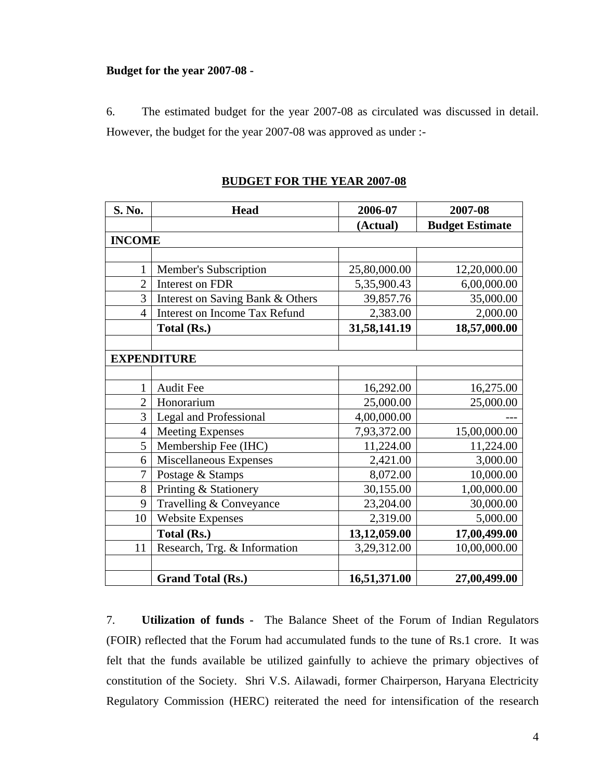#### **Budget for the year 2007-08 -**

6. The estimated budget for the year 2007-08 as circulated was discussed in detail. However, the budget for the year 2007-08 was approved as under :-

| S. No.         | <b>Head</b>                          | 2006-07      | 2007-08                |
|----------------|--------------------------------------|--------------|------------------------|
|                |                                      | (Actual)     | <b>Budget Estimate</b> |
| <b>INCOME</b>  |                                      |              |                        |
|                |                                      |              |                        |
| 1              | Member's Subscription                | 25,80,000.00 | 12,20,000.00           |
| $\overline{2}$ | Interest on FDR                      | 5,35,900.43  | 6,00,000.00            |
| 3              | Interest on Saving Bank & Others     | 39,857.76    | 35,000.00              |
| $\overline{4}$ | <b>Interest on Income Tax Refund</b> | 2,383.00     | 2,000.00               |
|                | Total (Rs.)                          | 31,58,141.19 | 18,57,000.00           |
|                |                                      |              |                        |
|                | <b>EXPENDITURE</b>                   |              |                        |
|                |                                      |              |                        |
| 1              | Audit Fee                            | 16,292.00    | 16,275.00              |
| $\overline{2}$ | Honorarium                           | 25,000.00    | 25,000.00              |
| 3              | <b>Legal and Professional</b>        | 4,00,000.00  |                        |
| $\overline{4}$ | <b>Meeting Expenses</b>              | 7,93,372.00  | 15,00,000.00           |
| 5              | Membership Fee (IHC)                 | 11,224.00    | 11,224.00              |
| 6              | Miscellaneous Expenses               | 2,421.00     | 3,000.00               |
| 7              | Postage & Stamps                     | 8,072.00     | 10,000.00              |
| 8              | Printing & Stationery                | 30,155.00    | 1,00,000.00            |
| 9              | Travelling & Conveyance              | 23,204.00    | 30,000.00              |
| 10             | <b>Website Expenses</b>              | 2,319.00     | 5,000.00               |
|                | Total (Rs.)                          | 13,12,059.00 | 17,00,499.00           |
| 11             | Research, Trg. & Information         | 3,29,312.00  | 10,00,000.00           |
|                |                                      |              |                        |
|                | <b>Grand Total (Rs.)</b>             | 16,51,371.00 | 27,00,499.00           |

**BUDGET FOR THE YEAR 2007-08**

7. **Utilization of funds -** The Balance Sheet of the Forum of Indian Regulators (FOIR) reflected that the Forum had accumulated funds to the tune of Rs.1 crore. It was felt that the funds available be utilized gainfully to achieve the primary objectives of constitution of the Society. Shri V.S. Ailawadi, former Chairperson, Haryana Electricity Regulatory Commission (HERC) reiterated the need for intensification of the research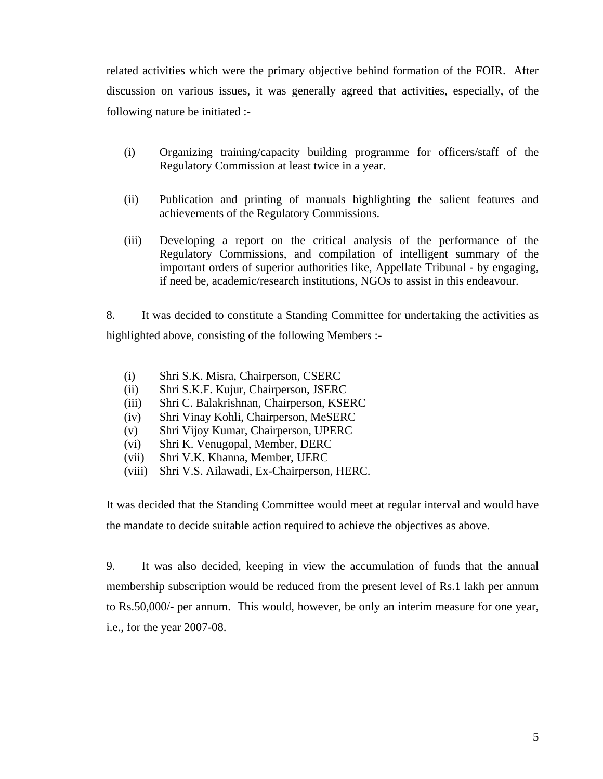related activities which were the primary objective behind formation of the FOIR. After discussion on various issues, it was generally agreed that activities, especially, of the following nature be initiated :-

- (i) Organizing training/capacity building programme for officers/staff of the Regulatory Commission at least twice in a year.
- (ii) Publication and printing of manuals highlighting the salient features and achievements of the Regulatory Commissions.
- (iii) Developing a report on the critical analysis of the performance of the Regulatory Commissions, and compilation of intelligent summary of the important orders of superior authorities like, Appellate Tribunal - by engaging, if need be, academic/research institutions, NGOs to assist in this endeavour.

8. It was decided to constitute a Standing Committee for undertaking the activities as highlighted above, consisting of the following Members :-

- (i) Shri S.K. Misra, Chairperson, CSERC
- (ii) Shri S.K.F. Kujur, Chairperson, JSERC
- (iii) Shri C. Balakrishnan, Chairperson, KSERC
- (iv) Shri Vinay Kohli, Chairperson, MeSERC
- (v) Shri Vijoy Kumar, Chairperson, UPERC
- (vi) Shri K. Venugopal, Member, DERC
- (vii) Shri V.K. Khanna, Member, UERC
- (viii) Shri V.S. Ailawadi, Ex-Chairperson, HERC.

It was decided that the Standing Committee would meet at regular interval and would have the mandate to decide suitable action required to achieve the objectives as above.

9. It was also decided, keeping in view the accumulation of funds that the annual membership subscription would be reduced from the present level of Rs.1 lakh per annum to Rs.50,000/- per annum. This would, however, be only an interim measure for one year, i.e., for the year 2007-08.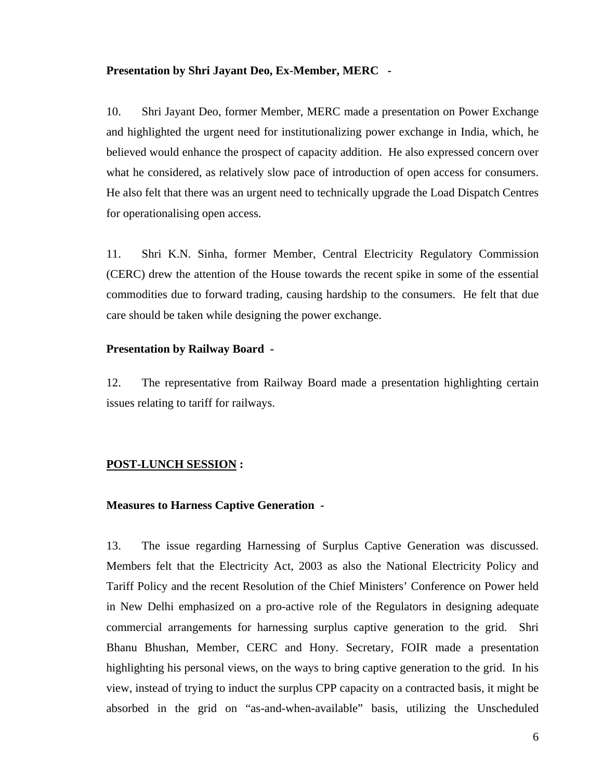#### **Presentation by Shri Jayant Deo, Ex-Member, MERC -**

10. Shri Jayant Deo, former Member, MERC made a presentation on Power Exchange and highlighted the urgent need for institutionalizing power exchange in India, which, he believed would enhance the prospect of capacity addition. He also expressed concern over what he considered, as relatively slow pace of introduction of open access for consumers. He also felt that there was an urgent need to technically upgrade the Load Dispatch Centres for operationalising open access.

11. Shri K.N. Sinha, former Member, Central Electricity Regulatory Commission (CERC) drew the attention of the House towards the recent spike in some of the essential commodities due to forward trading, causing hardship to the consumers. He felt that due care should be taken while designing the power exchange.

#### **Presentation by Railway Board -**

12. The representative from Railway Board made a presentation highlighting certain issues relating to tariff for railways.

#### **POST-LUNCH SESSION :**

#### **Measures to Harness Captive Generation -**

13. The issue regarding Harnessing of Surplus Captive Generation was discussed. Members felt that the Electricity Act, 2003 as also the National Electricity Policy and Tariff Policy and the recent Resolution of the Chief Ministers' Conference on Power held in New Delhi emphasized on a pro-active role of the Regulators in designing adequate commercial arrangements for harnessing surplus captive generation to the grid. Shri Bhanu Bhushan, Member, CERC and Hony. Secretary, FOIR made a presentation highlighting his personal views, on the ways to bring captive generation to the grid. In his view, instead of trying to induct the surplus CPP capacity on a contracted basis, it might be absorbed in the grid on "as-and-when-available" basis, utilizing the Unscheduled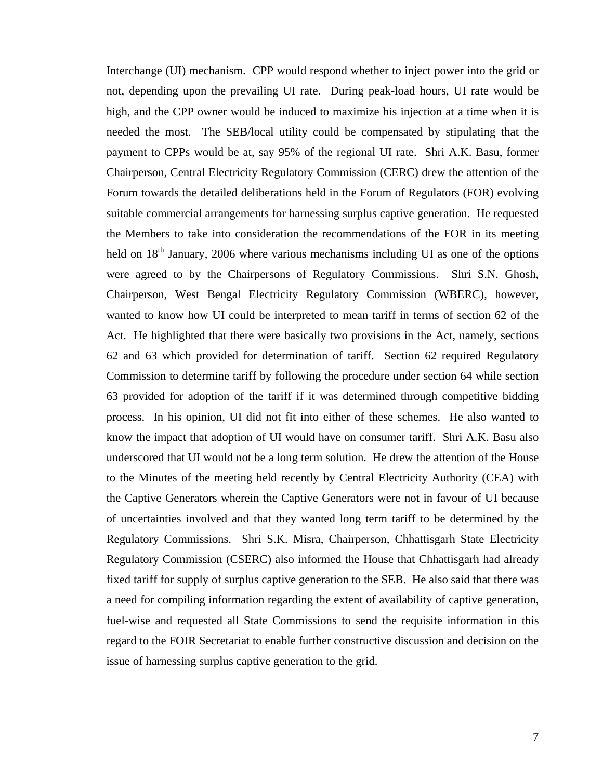Interchange (UI) mechanism. CPP would respond whether to inject power into the grid or not, depending upon the prevailing UI rate. During peak-load hours, UI rate would be high, and the CPP owner would be induced to maximize his injection at a time when it is needed the most. The SEB/local utility could be compensated by stipulating that the payment to CPPs would be at, say 95% of the regional UI rate. Shri A.K. Basu, former Chairperson, Central Electricity Regulatory Commission (CERC) drew the attention of the Forum towards the detailed deliberations held in the Forum of Regulators (FOR) evolving suitable commercial arrangements for harnessing surplus captive generation. He requested the Members to take into consideration the recommendations of the FOR in its meeting held on  $18<sup>th</sup>$  January, 2006 where various mechanisms including UI as one of the options were agreed to by the Chairpersons of Regulatory Commissions. Shri S.N. Ghosh, Chairperson, West Bengal Electricity Regulatory Commission (WBERC), however, wanted to know how UI could be interpreted to mean tariff in terms of section 62 of the Act. He highlighted that there were basically two provisions in the Act, namely, sections 62 and 63 which provided for determination of tariff. Section 62 required Regulatory Commission to determine tariff by following the procedure under section 64 while section 63 provided for adoption of the tariff if it was determined through competitive bidding process. In his opinion, UI did not fit into either of these schemes. He also wanted to know the impact that adoption of UI would have on consumer tariff. Shri A.K. Basu also underscored that UI would not be a long term solution. He drew the attention of the House to the Minutes of the meeting held recently by Central Electricity Authority (CEA) with the Captive Generators wherein the Captive Generators were not in favour of UI because of uncertainties involved and that they wanted long term tariff to be determined by the Regulatory Commissions. Shri S.K. Misra, Chairperson, Chhattisgarh State Electricity Regulatory Commission (CSERC) also informed the House that Chhattisgarh had already fixed tariff for supply of surplus captive generation to the SEB. He also said that there was a need for compiling information regarding the extent of availability of captive generation, fuel-wise and requested all State Commissions to send the requisite information in this regard to the FOIR Secretariat to enable further constructive discussion and decision on the issue of harnessing surplus captive generation to the grid.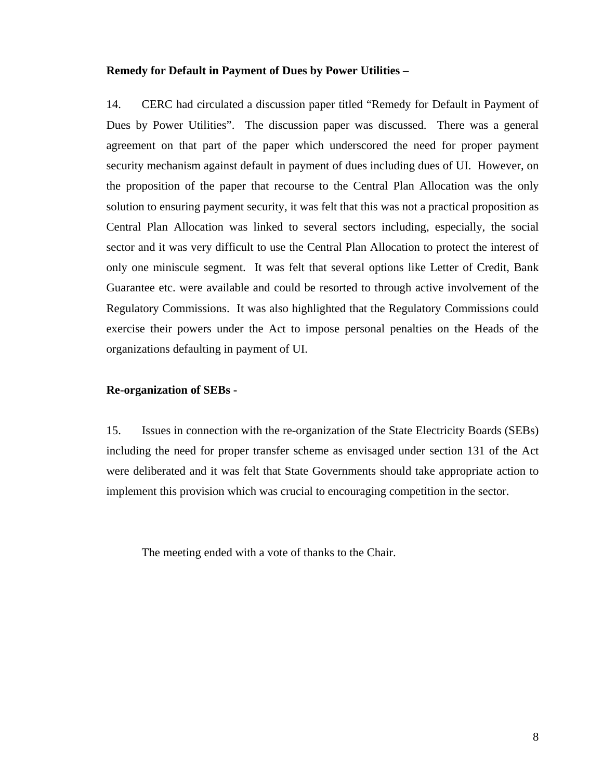#### **Remedy for Default in Payment of Dues by Power Utilities –**

14. CERC had circulated a discussion paper titled "Remedy for Default in Payment of Dues by Power Utilities". The discussion paper was discussed. There was a general agreement on that part of the paper which underscored the need for proper payment security mechanism against default in payment of dues including dues of UI. However, on the proposition of the paper that recourse to the Central Plan Allocation was the only solution to ensuring payment security, it was felt that this was not a practical proposition as Central Plan Allocation was linked to several sectors including, especially, the social sector and it was very difficult to use the Central Plan Allocation to protect the interest of only one miniscule segment. It was felt that several options like Letter of Credit, Bank Guarantee etc. were available and could be resorted to through active involvement of the Regulatory Commissions. It was also highlighted that the Regulatory Commissions could exercise their powers under the Act to impose personal penalties on the Heads of the organizations defaulting in payment of UI.

#### **Re-organization of SEBs -**

15. Issues in connection with the re-organization of the State Electricity Boards (SEBs) including the need for proper transfer scheme as envisaged under section 131 of the Act were deliberated and it was felt that State Governments should take appropriate action to implement this provision which was crucial to encouraging competition in the sector.

The meeting ended with a vote of thanks to the Chair.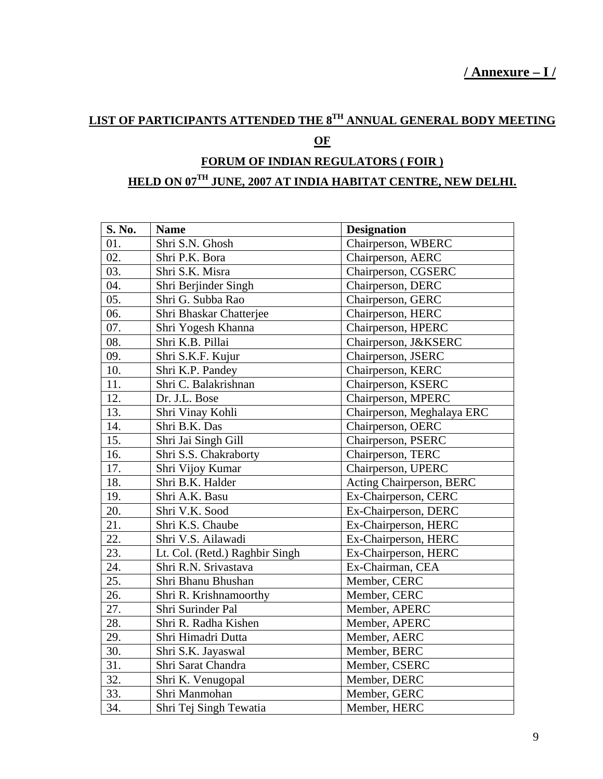## **LIST OF PARTICIPANTS ATTENDED THE 8TH ANNUAL GENERAL BODY MEETING**

### **OF**

## **FORUM OF INDIAN REGULATORS ( FOIR )**

## **HELD ON 07TH JUNE, 2007 AT INDIA HABITAT CENTRE, NEW DELHI.**

| S. No. | <b>Name</b>                    | <b>Designation</b>         |
|--------|--------------------------------|----------------------------|
| 01.    | Shri S.N. Ghosh                | Chairperson, WBERC         |
| 02.    | Shri P.K. Bora                 | Chairperson, AERC          |
| 03.    | Shri S.K. Misra                | Chairperson, CGSERC        |
| 04.    | Shri Berjinder Singh           | Chairperson, DERC          |
| 05.    | Shri G. Subba Rao              | Chairperson, GERC          |
| 06.    | Shri Bhaskar Chatterjee        | Chairperson, HERC          |
| 07.    | Shri Yogesh Khanna             | Chairperson, HPERC         |
| 08.    | Shri K.B. Pillai               | Chairperson, J&KSERC       |
| 09.    | Shri S.K.F. Kujur              | Chairperson, JSERC         |
| 10.    | Shri K.P. Pandey               | Chairperson, KERC          |
| 11.    | Shri C. Balakrishnan           | Chairperson, KSERC         |
| 12.    | Dr. J.L. Bose                  | Chairperson, MPERC         |
| 13.    | Shri Vinay Kohli               | Chairperson, Meghalaya ERC |
| 14.    | Shri B.K. Das                  | Chairperson, OERC          |
| 15.    | Shri Jai Singh Gill            | Chairperson, PSERC         |
| 16.    | Shri S.S. Chakraborty          | Chairperson, TERC          |
| 17.    | Shri Vijoy Kumar               | Chairperson, UPERC         |
| 18.    | Shri B.K. Halder               | Acting Chairperson, BERC   |
| 19.    | Shri A.K. Basu                 | Ex-Chairperson, CERC       |
| 20.    | Shri V.K. Sood                 | Ex-Chairperson, DERC       |
| 21.    | Shri K.S. Chaube               | Ex-Chairperson, HERC       |
| 22.    | Shri V.S. Ailawadi             | Ex-Chairperson, HERC       |
| 23.    | Lt. Col. (Retd.) Raghbir Singh | Ex-Chairperson, HERC       |
| 24.    | Shri R.N. Srivastava           | Ex-Chairman, CEA           |
| 25.    | Shri Bhanu Bhushan             | Member, CERC               |
| 26.    | Shri R. Krishnamoorthy         | Member, CERC               |
| 27.    | Shri Surinder Pal              | Member, APERC              |
| 28.    | Shri R. Radha Kishen           | Member, APERC              |
| 29.    | Shri Himadri Dutta             | Member, AERC               |
| 30.    | Shri S.K. Jayaswal             | Member, BERC               |
| 31.    | Shri Sarat Chandra             | Member, CSERC              |
| 32.    | Shri K. Venugopal              | Member, DERC               |
| 33.    | Shri Manmohan                  | Member, GERC               |
| 34.    | Shri Tej Singh Tewatia         | Member, HERC               |